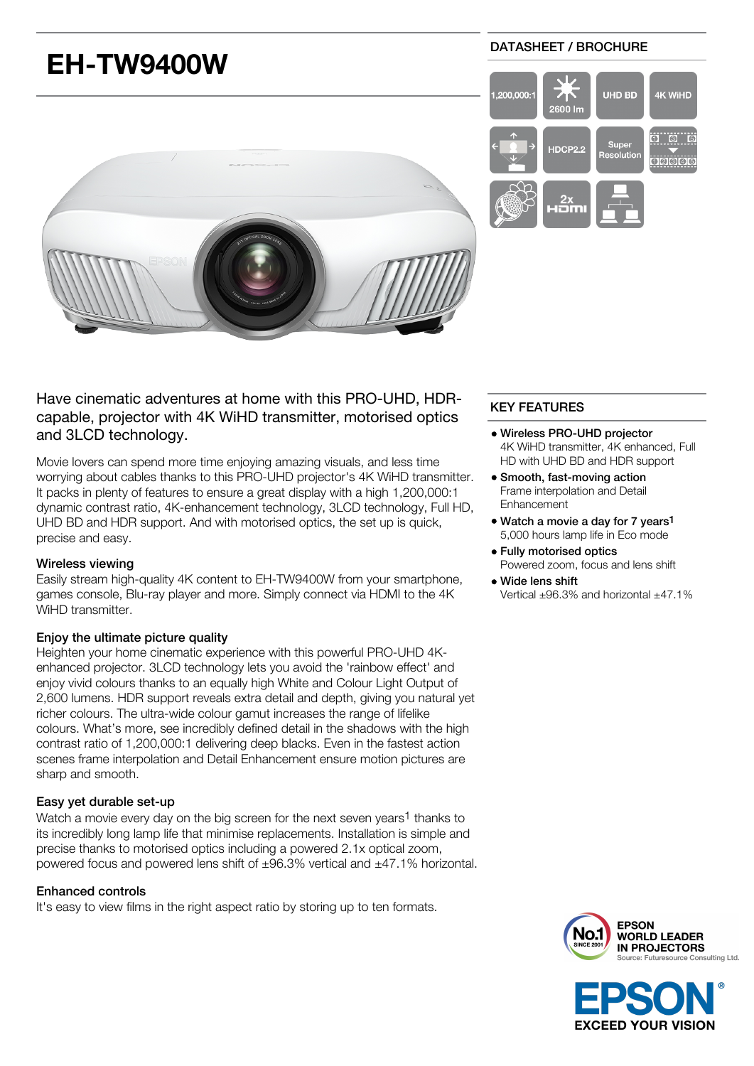

Have cinematic adventures at home with this PRO-UHD, HDRcapable, projector with 4K WiHD transmitter, motorised optics and 3LCD technology.

Movie lovers can spend more time enjoying amazing visuals, and less time worrying about cables thanks to this PRO-UHD projector's 4K WiHD transmitter. It packs in plenty of features to ensure a great display with a high 1,200,000:1 dynamic contrast ratio, 4K-enhancement technology, 3LCD technology, Full HD, UHD BD and HDR support. And with motorised optics, the set up is quick, precise and easy.

## Wireless viewing

Easily stream high-quality 4K content to EH-TW9400W from your smartphone, games console, Blu-ray player and more. Simply connect via HDMI to the 4K WiHD transmitter.

# Enjoy the ultimate picture quality

Heighten your home cinematic experience with this powerful PRO-UHD 4Kenhanced projector. 3LCD technology lets you avoid the 'rainbow effect' and enjoy vivid colours thanks to an equally high White and Colour Light Output of 2,600 lumens. HDR support reveals extra detail and depth, giving you natural yet richer colours. The ultra-wide colour gamut increases the range of lifelike colours. What's more, see incredibly defined detail in the shadows with the high contrast ratio of 1,200,000:1 delivering deep blacks. Even in the fastest action scenes frame interpolation and Detail Enhancement ensure motion pictures are sharp and smooth.

# Easy yet durable set-up

Watch a movie every day on the big screen for the next seven years<sup>1</sup> thanks to its incredibly long lamp life that minimise replacements. Installation is simple and precise thanks to motorised optics including a powered 2.1x optical zoom, powered focus and powered lens shift of ±96.3% vertical and ±47.1% horizontal.

## Enhanced controls

It's easy to view films in the right aspect ratio by storing up to ten formats.

# KEY FEATURES

- Wireless PRO-UHD projector 4K WiHD transmitter, 4K enhanced, Full HD with UHD BD and HDR support
- Smooth, fast-moving action Frame interpolation and Detail Enhancement
- Watch a movie a day for 7 years<sup>1</sup> 5,000 hours lamp life in Eco mode
- Fully motorised optics Powered zoom, focus and lens shift
- Wide lens shift Vertical ±96.3% and horizontal ±47.1%



**EXCEED YOUR VISION**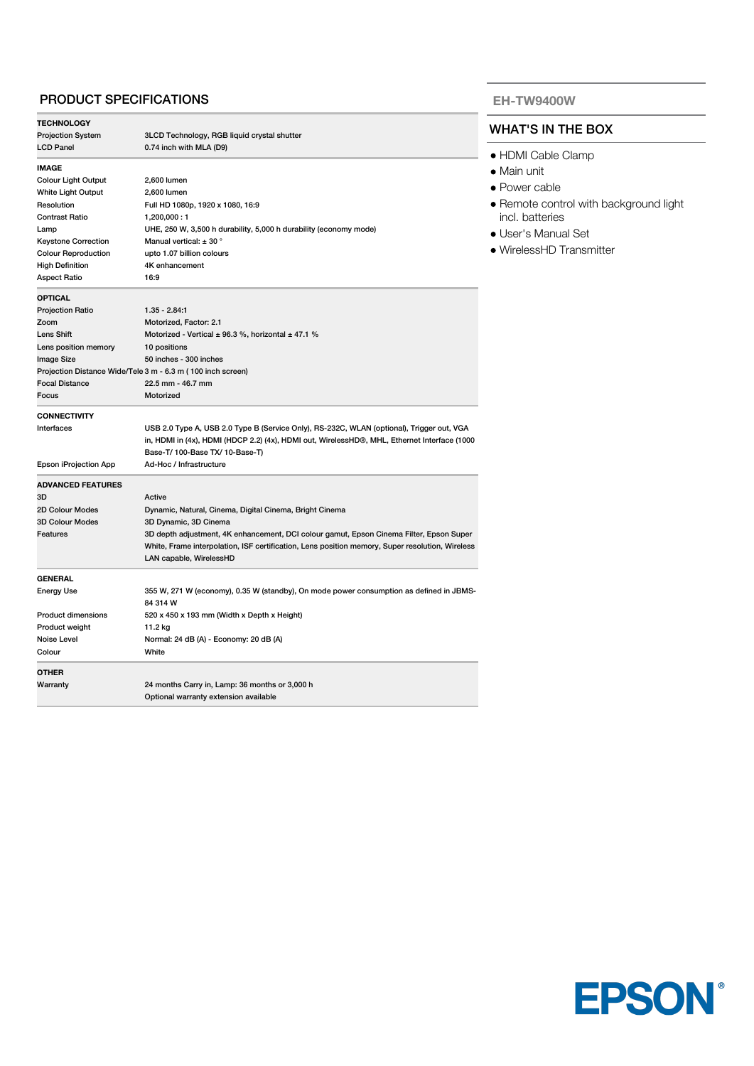## PRODUCT SPECIFICATIONS

| <b>TECHNOLOGY</b>          |                                                                                                 |
|----------------------------|-------------------------------------------------------------------------------------------------|
| <b>Projection System</b>   | 3LCD Technology, RGB liquid crystal shutter                                                     |
| <b>LCD Panel</b>           | 0.74 inch with MLA (D9)                                                                         |
| <b>IMAGE</b>               |                                                                                                 |
| <b>Colour Light Output</b> | 2,600 lumen                                                                                     |
| White Light Output         | 2,600 lumen                                                                                     |
| Resolution                 | Full HD 1080p, 1920 x 1080, 16:9                                                                |
| <b>Contrast Ratio</b>      | 1,200,000:1                                                                                     |
| Lamp                       | UHE, 250 W, 3,500 h durability, 5,000 h durability (economy mode)                               |
| <b>Keystone Correction</b> | Manual vertical: $\pm$ 30 °                                                                     |
| <b>Colour Reproduction</b> | upto 1.07 billion colours                                                                       |
| <b>High Definition</b>     | 4K enhancement                                                                                  |
| <b>Aspect Ratio</b>        | 16:9                                                                                            |
| <b>OPTICAL</b>             |                                                                                                 |
| <b>Projection Ratio</b>    | $1.35 - 2.84:1$                                                                                 |
| Zoom                       | Motorized, Factor: 2.1                                                                          |
| Lens Shift                 | Motorized - Vertical $\pm$ 96.3 %, horizontal $\pm$ 47.1 %                                      |
| Lens position memory       | 10 positions                                                                                    |
| Image Size                 | 50 inches - 300 inches                                                                          |
|                            | Projection Distance Wide/Tele 3 m - 6.3 m (100 inch screen)                                     |
| <b>Focal Distance</b>      | 22.5 mm - 46.7 mm                                                                               |
| Focus                      | Motorized                                                                                       |
|                            |                                                                                                 |
| <b>CONNECTIVITY</b>        |                                                                                                 |
| Interfaces                 | USB 2.0 Type A, USB 2.0 Type B (Service Only), RS-232C, WLAN (optional), Trigger out, VGA       |
|                            | in, HDMI in (4x), HDMI (HDCP 2.2) (4x), HDMI out, WirelessHD®, MHL, Ethernet Interface (1000    |
|                            | Base-T/100-Base TX/10-Base-T)                                                                   |
| Epson iProjection App      | Ad-Hoc / Infrastructure                                                                         |
| <b>ADVANCED FEATURES</b>   |                                                                                                 |
| 3D                         | Active                                                                                          |
| 2D Colour Modes            | Dynamic, Natural, Cinema, Digital Cinema, Bright Cinema                                         |
| <b>3D Colour Modes</b>     | 3D Dynamic, 3D Cinema                                                                           |
| Features                   | 3D depth adjustment, 4K enhancement, DCI colour gamut, Epson Cinema Filter, Epson Super         |
|                            | White, Frame interpolation, ISF certification, Lens position memory, Super resolution, Wireless |
|                            | LAN capable, WirelessHD                                                                         |
| <b>GENERAL</b>             |                                                                                                 |
| <b>Energy Use</b>          | 355 W, 271 W (economy), 0.35 W (standby), On mode power consumption as defined in JBMS-         |
|                            | 84 314 W                                                                                        |
| <b>Product dimensions</b>  | 520 x 450 x 193 mm (Width x Depth x Height)                                                     |
| Product weight             | 11.2 kg                                                                                         |
| Noise Level                | Normal: 24 dB (A) - Economy: 20 dB (A)                                                          |
| Colour                     | White                                                                                           |
| <b>OTHER</b>               |                                                                                                 |
| Warranty                   | 24 months Carry in, Lamp: 36 months or 3,000 h                                                  |
|                            | Optional warranty extension available                                                           |
|                            |                                                                                                 |

#### **EH-TW9400W**

#### WHAT'S IN THE BOX

- HDMI Cable Clamp
- Main unit
- Power cable
- Remote control with background light incl. batteries
- User's Manual Set
- WirelessHD Transmitter